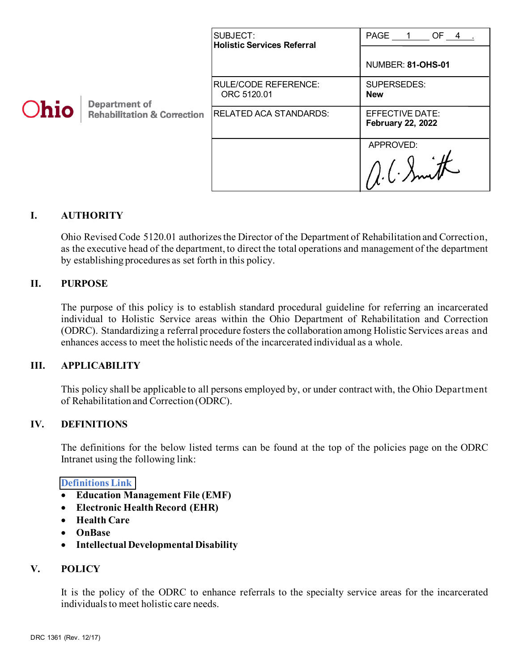| Ohio | <b>Department of</b><br><b>Rehabilitation &amp; Correction</b> | SUBJECT:<br><b>Holistic Services Referral</b> | PAGE 1<br>$OF_4$ .                          |
|------|----------------------------------------------------------------|-----------------------------------------------|---------------------------------------------|
|      |                                                                |                                               | NUMBER: 81-OHS-01                           |
|      |                                                                | <b>RULE/CODE REFERENCE:</b><br>ORC 5120.01    | SUPERSEDES:<br><b>New</b>                   |
|      |                                                                | <b>RELATED ACA STANDARDS:</b>                 | EFFECTIVE DATE:<br><b>February 22, 2022</b> |
|      |                                                                |                                               | APPROVED:                                   |
|      |                                                                |                                               | $1/(1-\lambda m)$                           |

# **I. AUTHORITY**

Ohio Revised Code 5120.01 authorizes the Director of the Department of Rehabilitation and Correction, as the executive head of the department, to direct the total operations and management of the department by establishing procedures as set forth in this policy.

### **II. PURPOSE**

The purpose of this policy is to establish standard procedural guideline for referring an incarcerated individual to Holistic Service areas within the Ohio Department of Rehabilitation and Correction (ODRC). Standardizing a referral procedure fosters the collaboration among Holistic Services areas and enhances access to meet the holistic needs of the incarcerated individual as a whole.

#### **III. APPLICABILITY**

This policy shall be applicable to all persons employed by, or under contract with, the Ohio Department of Rehabilitation and Correction (ODRC).

### **IV. DEFINITIONS**

The definitions for the below listed terms can be found at the top of the policies page on the ODRC Intranet using the following link:

#### **[Definitions Link](http://intra/policies/pagecontent/files/Policy%20Definition%20Spreadsheet%20-%20Intranet%202021.pdf)**

- **Education Management File (EMF)**
- **Electronic HealthRecord (EHR)**
- **Health Care**
- **OnBase**
- **Intellectual Developmental Disability**

#### **V. POLICY**

It is the policy of the ODRC to enhance referrals to the specialty service areas for the incarcerated individuals to meet holistic care needs.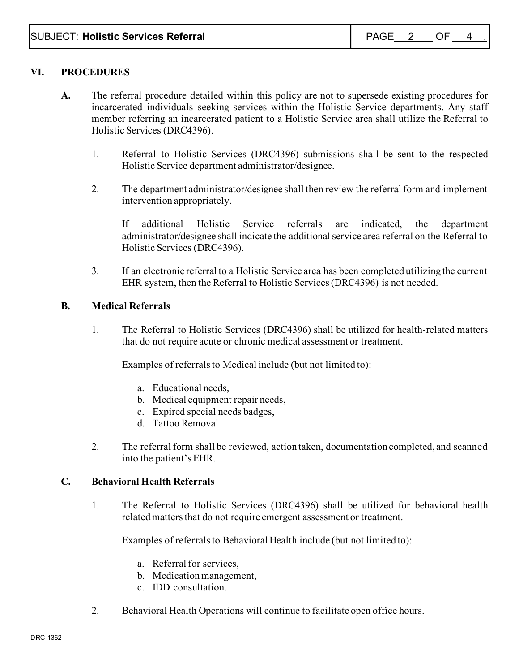# **VI. PROCEDURES**

- **A.** The referral procedure detailed within this policy are not to supersede existing procedures for incarcerated individuals seeking services within the Holistic Service departments. Any staff member referring an incarcerated patient to a Holistic Service area shall utilize the Referral to Holistic Services (DRC4396).
	- 1. Referral to Holistic Services (DRC4396) submissions shall be sent to the respected Holistic Service department administrator/designee.
	- 2. The department administrator/designee shall then review the referral form and implement intervention appropriately.

If additional Holistic Service referrals are indicated, the department administrator/designee shall indicate the additionalservice area referral on the Referral to Holistic Services (DRC4396).

3. If an electronic referral to a Holistic Service area has been completed utilizing the current EHR system, then the Referral to Holistic Services (DRC4396) is not needed.

### **B. Medical Referrals**

1. The Referral to Holistic Services (DRC4396) shall be utilized for health-related matters that do not require acute or chronic medical assessment or treatment.

Examples of referrals to Medical include (but not limited to):

- a. Educational needs,
- b. Medical equipment repair needs,
- c. Expired special needs badges,
- d. Tattoo Removal
- 2. The referral form shall be reviewed, action taken, documentation completed, and scanned into the patient's EHR.

#### **C. Behavioral Health Referrals**

1. The Referral to Holistic Services (DRC4396) shall be utilized for behavioral health related matters that do not require emergent assessment or treatment.

Examples of referrals to Behavioral Health include (but not limited to):

- a. Referral for services,
- b. Medication management,
- c. IDD consultation.
- 2. Behavioral Health Operations will continue to facilitate open office hours.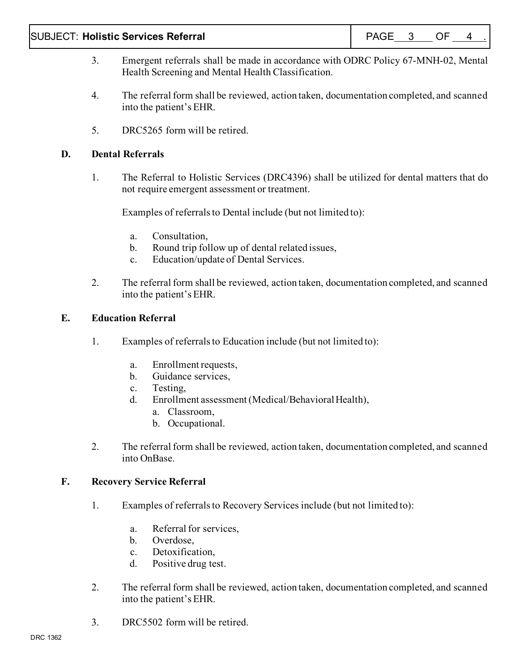### SUBJECT: **Holistic Services Referral** And All PAGE 3 OF 4

- 3. Emergent referrals shall be made in accordance with ODRC Policy 67-MNH-02, Mental Health Screening and Mental Health Classification.
- 4. The referral form shall be reviewed, action taken, documentation completed, and scanned into the patient's EHR.
- 5. DRC5265 form will be retired.

### **D. Dental Referrals**

1. The Referral to Holistic Services (DRC4396) shall be utilized for dental matters that do not require emergent assessment or treatment.

Examples of referrals to Dental include (but not limited to):

- a. Consultation,
- b. Round trip follow up of dental related issues,
- c. Education/update of Dental Services.
- 2. The referral form shall be reviewed, action taken, documentation completed, and scanned into the patient's EHR.

### **E. Education Referral**

- 1. Examples of referrals to Education include (but not limited to):
	- a. Enrollment requests,
	- b. Guidance services,
	- c. Testing,
	- d. Enrollment assessment (Medical/Behavioral Health),
		- a. Classroom,
		- b. Occupational.
- 2. The referral form shall be reviewed, action taken, documentation completed, and scanned into OnBase.

#### **F. Recovery Service Referral**

- 1. Examples of referralsto Recovery Services include (but not limited to):
	- a. Referral for services,
	- b. Overdose,
	- c. Detoxification,
	- d. Positive drug test.
- 2. The referral form shall be reviewed, action taken, documentation completed, and scanned into the patient's EHR.
- 3. DRC5502 form will be retired.